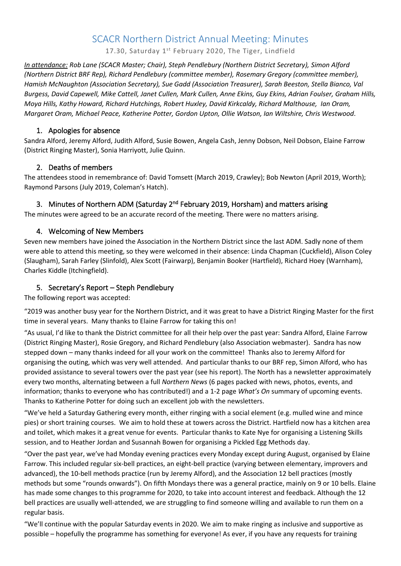# SCACR Northern District Annual Meeting: Minutes

17.30, Saturday 1<sup>st</sup> February 2020, The Tiger, Lindfield

*In attendance: Rob Lane (SCACR Master; Chair), Steph Pendlebury (Northern District Secretary), Simon Alford (Northern District BRF Rep), Richard Pendlebury (committee member), Rosemary Gregory (committee member), Hamish McNaughton (Association Secretary), Sue Gadd (Association Treasurer), Sarah Beeston, Stella Bianco, Val Burgess, David Capewell, Mike Cattell, Janet Cullen, Mark Cullen, Anne Ekins, Guy Ekins, Adrian Foulser, Graham Hills, Moya Hills, Kathy Howard, Richard Hutchings, Robert Huxley, David Kirkcaldy, Richard Malthouse, Ian Oram, Margaret Oram, Michael Peace, Katherine Potter, Gordon Upton, Ollie Watson, Ian Wiltshire, Chris Westwood*.

### 1. Apologies for absence

Sandra Alford, Jeremy Alford, Judith Alford, Susie Bowen, Angela Cash, Jenny Dobson, Neil Dobson, Elaine Farrow (District Ringing Master), Sonia Harriyott, Julie Quinn.

# 2. Deaths of members

The attendees stood in remembrance of: David Tomsett (March 2019, Crawley); Bob Newton (April 2019, Worth); Raymond Parsons (July 2019, Coleman's Hatch).

# 3. Minutes of Northern ADM (Saturday 2<sup>nd</sup> February 2019, Horsham) and matters arising

The minutes were agreed to be an accurate record of the meeting. There were no matters arising.

# 4. Welcoming of New Members

Seven new members have joined the Association in the Northern District since the last ADM. Sadly none of them were able to attend this meeting, so they were welcomed in their absence: Linda Chapman (Cuckfield), Alison Coley (Slaugham), Sarah Farley (Slinfold), Alex Scott (Fairwarp), Benjamin Booker (Hartfield), Richard Hoey (Warnham), Charles Kiddle (Itchingfield).

# 5. Secretary's Report – Steph Pendlebury

The following report was accepted:

"2019 was another busy year for the Northern District, and it was great to have a District Ringing Master for the first time in several years. Many thanks to Elaine Farrow for taking this on!

"As usual, I'd like to thank the District committee for all their help over the past year: Sandra Alford, Elaine Farrow (District Ringing Master), Rosie Gregory, and Richard Pendlebury (also Association webmaster). Sandra has now stepped down – many thanks indeed for all your work on the committee! Thanks also to Jeremy Alford for organising the outing, which was very well attended. And particular thanks to our BRF rep, Simon Alford, who has provided assistance to several towers over the past year (see his report). The North has a newsletter approximately every two months, alternating between a full *Northern News* (6 pages packed with news, photos, events, and information; thanks to everyone who has contributed!) and a 1-2 page *What's On* summary of upcoming events. Thanks to Katherine Potter for doing such an excellent job with the newsletters.

"We've held a Saturday Gathering every month, either ringing with a social element (e.g. mulled wine and mince pies) or short training courses. We aim to hold these at towers across the District. Hartfield now has a kitchen area and toilet, which makes it a great venue for events. Particular thanks to Kate Nye for organising a Listening Skills session, and to Heather Jordan and Susannah Bowen for organising a Pickled Egg Methods day.

"Over the past year, we've had Monday evening practices every Monday except during August, organised by Elaine Farrow. This included regular six-bell practices, an eight-bell practice (varying between elementary, improvers and advanced), the 10-bell methods practice (run by Jeremy Alford), and the Association 12 bell practices (mostly methods but some "rounds onwards"). On fifth Mondays there was a general practice, mainly on 9 or 10 bells. Elaine has made some changes to this programme for 2020, to take into account interest and feedback. Although the 12 bell practices are usually well-attended, we are struggling to find someone willing and available to run them on a regular basis.

"We'll continue with the popular Saturday events in 2020. We aim to make ringing as inclusive and supportive as possible – hopefully the programme has something for everyone! As ever, if you have any requests for training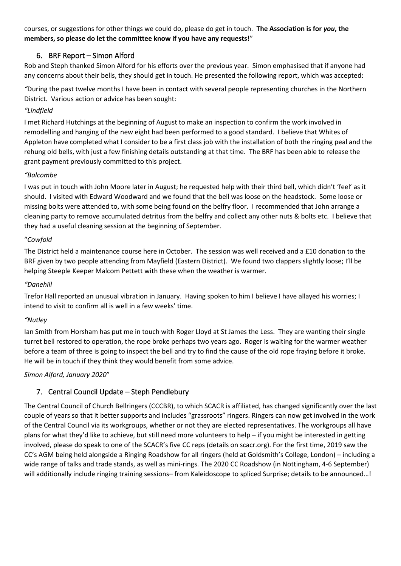courses, or suggestions for other things we could do, please do get in touch. **The Association is for** *you***, the members, so please do let the committee know if you have any requests!**"

# 6. BRF Report – Simon Alford

Rob and Steph thanked Simon Alford for his efforts over the previous year. Simon emphasised that if anyone had any concerns about their bells, they should get in touch. He presented the following report, which was accepted:

*"*During the past twelve months I have been in contact with several people representing churches in the Northern District. Various action or advice has been sought:

### *"Lindfield*

I met Richard Hutchings at the beginning of August to make an inspection to confirm the work involved in remodelling and hanging of the new eight had been performed to a good standard. I believe that Whites of Appleton have completed what I consider to be a first class job with the installation of both the ringing peal and the rehung old bells, with just a few finishing details outstanding at that time. The BRF has been able to release the grant payment previously committed to this project.

### *"Balcombe*

I was put in touch with John Moore later in August; he requested help with their third bell, which didn't 'feel' as it should. I visited with Edward Woodward and we found that the bell was loose on the headstock. Some loose or missing bolts were attended to, with some being found on the belfry floor. I recommended that John arrange a cleaning party to remove accumulated detritus from the belfry and collect any other nuts & bolts etc. I believe that they had a useful cleaning session at the beginning of September.

#### "*Cowfold*

The District held a maintenance course here in October. The session was well received and a £10 donation to the BRF given by two people attending from Mayfield (Eastern District). We found two clappers slightly loose; I'll be helping Steeple Keeper Malcom Pettett with these when the weather is warmer.

#### *"Danehill*

Trefor Hall reported an unusual vibration in January. Having spoken to him I believe I have allayed his worries; I intend to visit to confirm all is well in a few weeks' time.

#### *"Nutley*

Ian Smith from Horsham has put me in touch with Roger Lloyd at St James the Less. They are wanting their single turret bell restored to operation, the rope broke perhaps two years ago. Roger is waiting for the warmer weather before a team of three is going to inspect the bell and try to find the cause of the old rope fraying before it broke. He will be in touch if they think they would benefit from some advice.

*Simon Alford, January 2020*"

# 7. Central Council Update – Steph Pendlebury

The Central Council of Church Bellringers (CCCBR), to which SCACR is affiliated, has changed significantly over the last couple of years so that it better supports and includes "grassroots" ringers. Ringers can now get involved in the work of the Central Council via its workgroups, whether or not they are elected representatives. The workgroups all have plans for what they'd like to achieve, but still need more volunteers to help – if you might be interested in getting involved, please do speak to one of the SCACR's five CC reps (details on scacr.org). For the first time, 2019 saw the CC's AGM being held alongside a Ringing Roadshow for all ringers (held at Goldsmith's College, London) – including a wide range of talks and trade stands, as well as mini-rings. The 2020 CC Roadshow (in Nottingham, 4-6 September) will additionally include ringing training sessions– from Kaleidoscope to spliced Surprise; details to be announced...!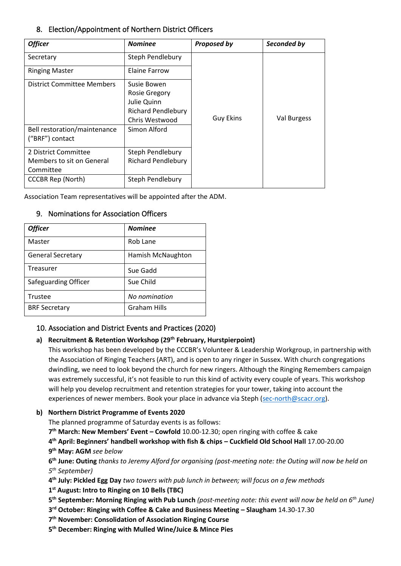# 8. Election/Appointment of Northern District Officers

| <b>Officer</b>                                                 | <b>Nominee</b>                                     | <b>Proposed by</b> | Seconded by |
|----------------------------------------------------------------|----------------------------------------------------|--------------------|-------------|
| Secretary                                                      | Steph Pendlebury                                   |                    |             |
| <b>Ringing Master</b>                                          | Elaine Farrow                                      |                    |             |
| District Committee Members                                     | Susie Bowen<br><b>Rosie Gregory</b><br>Julie Quinn |                    |             |
|                                                                | <b>Richard Pendlebury</b><br>Chris Westwood        | <b>Guy Ekins</b>   | Val Burgess |
| Bell restoration/maintenance<br>("BRF") contact                | Simon Alford                                       |                    |             |
| 2 District Committee<br>Members to sit on General<br>Committee | Steph Pendlebury<br><b>Richard Pendlebury</b>      |                    |             |
| <b>CCCBR Rep (North)</b>                                       | Steph Pendlebury                                   |                    |             |

Association Team representatives will be appointed after the ADM.

| <b>Officer</b>           | <b>Nominee</b>      |
|--------------------------|---------------------|
| Master                   | Rob Lane            |
| <b>General Secretary</b> | Hamish McNaughton   |
| Treasurer                | Sue Gadd            |
| Safeguarding Officer     | Sue Child           |
| Trustee                  | No nomination       |
| <b>BRF Secretary</b>     | <b>Graham Hills</b> |

# 9. Nominations for Association Officers

### 10. Association and District Events and Practices (2020)

### **a) Recruitment & Retention Workshop (29th February, Hurstpierpoint)**

This workshop has been developed by the CCCBR's Volunteer & Leadership Workgroup, in partnership with the Association of Ringing Teachers (ART), and is open to any ringer in Sussex. With church congregations dwindling, we need to look beyond the church for new ringers. Although the Ringing Remembers campaign was extremely successful, it's not feasible to run this kind of activity every couple of years. This workshop will help you develop recruitment and retention strategies for your tower, taking into account the experiences of newer members. Book your place in advance via Steph [\(sec-north@scacr.org\)](mailto:sec-north@scacr.org).

### **b) Northern District Programme of Events 2020**

The planned programme of Saturday events is as follows:

**7 th March: New Members' Event – Cowfold** 10.00-12.30; open ringing with coffee & cake

**4 th April: Beginners' handbell workshop with fish & chips – Cuckfield Old School Hall** 17.00-20.00 **9 th May: AGM** *see below*

**6 th June: Outing** *thanks to Jeremy Alford for organising (post-meeting note: the Outing will now be held on 5 th September)*

**4 th July: Pickled Egg Day** *two towers with pub lunch in between; will focus on a few methods*

**1 st August: Intro to Ringing on 10 Bells (TBC)** 

- **5 th September: Morning Ringing with Pub Lunch** *(post-meeting note: this event will now be held on 6th June)*
- **3 rd October: Ringing with Coffee & Cake and Business Meeting – Slaugham** 14.30-17.30
- **7 th November: Consolidation of Association Ringing Course**

**5 th December: Ringing with Mulled Wine/Juice & Mince Pies**